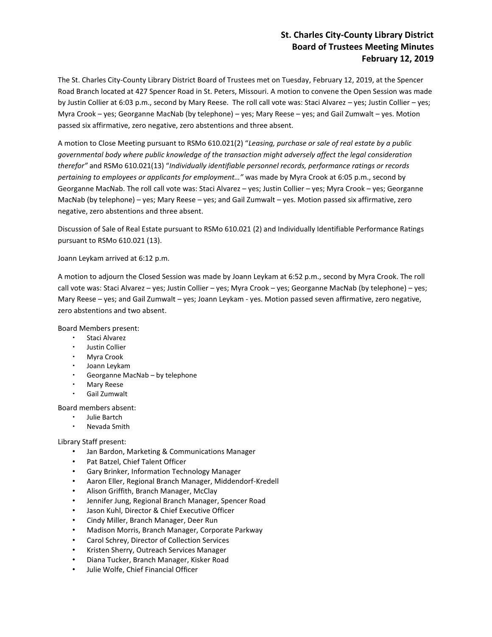# **St. Charles City-County Library District Board of Trustees Meeting Minutes February 12, 2019**

The St. Charles City-County Library District Board of Trustees met on Tuesday, February 12, 2019, at the Spencer Road Branch located at 427 Spencer Road in St. Peters, Missouri. A motion to convene the Open Session was made by Justin Collier at 6:03 p.m., second by Mary Reese. The roll call vote was: Staci Alvarez – yes; Justin Collier – yes; Myra Crook – yes; Georganne MacNab (by telephone) – yes; Mary Reese – yes; and Gail Zumwalt – yes. Motion passed six affirmative, zero negative, zero abstentions and three absent.

A motion to Close Meeting pursuant to RSMo 610.021(2) "*Leasing, purchase or sale of real estate by a public governmental body where public knowledge of the transaction might adversely affect the legal consideration therefor"* and RSMo 610.021(13) "*Individually identifiable personnel records, performance ratings or records pertaining to employees or applicants for employment…"* was made by Myra Crook at 6:05 p.m., second by Georganne MacNab. The roll call vote was: Staci Alvarez – yes; Justin Collier – yes; Myra Crook – yes; Georganne MacNab (by telephone) – yes; Mary Reese – yes; and Gail Zumwalt – yes. Motion passed six affirmative, zero negative, zero abstentions and three absent.

Discussion of Sale of Real Estate pursuant to RSMo 610.021 (2) and Individually Identifiable Performance Ratings pursuant to RSMo 610.021 (13).

### Joann Leykam arrived at 6:12 p.m.

A motion to adjourn the Closed Session was made by Joann Leykam at 6:52 p.m., second by Myra Crook. The roll call vote was: Staci Alvarez – yes; Justin Collier – yes; Myra Crook – yes; Georganne MacNab (by telephone) – yes; Mary Reese – yes; and Gail Zumwalt – yes; Joann Leykam - yes. Motion passed seven affirmative, zero negative, zero abstentions and two absent.

Board Members present:

- Staci Alvarez
- Justin Collier
- Myra Crook
- Joann Leykam
- Georganne MacNab by telephone
- Mary Reese
- Gail Zumwalt

Board members absent:

- Julie Bartch
- Nevada Smith

### Library Staff present:

- Jan Bardon, Marketing & Communications Manager
- Pat Batzel, Chief Talent Officer
- Gary Brinker, Information Technology Manager
- Aaron Eller, Regional Branch Manager, Middendorf-Kredell
- Alison Griffith, Branch Manager, McClay
- Jennifer Jung, Regional Branch Manager, Spencer Road
- Jason Kuhl, Director & Chief Executive Officer
- Cindy Miller, Branch Manager, Deer Run
- Madison Morris, Branch Manager, Corporate Parkway
- Carol Schrey, Director of Collection Services
- Kristen Sherry, Outreach Services Manager
- Diana Tucker, Branch Manager, Kisker Road
- Julie Wolfe, Chief Financial Officer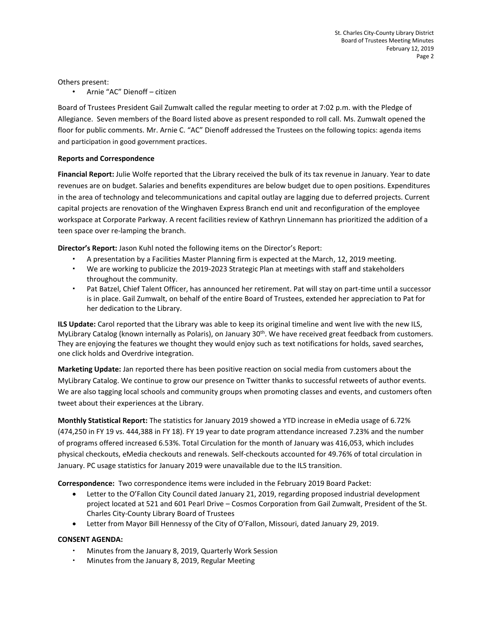Others present:

• Arnie "AC" Dienoff – citizen

Board of Trustees President Gail Zumwalt called the regular meeting to order at 7:02 p.m. with the Pledge of Allegiance. Seven members of the Board listed above as present responded to roll call. Ms. Zumwalt opened the floor for public comments. Mr. Arnie C. "AC" Dienoff addressed the Trustees on the following topics: agenda items and participation in good government practices.

### **Reports and Correspondence**

**Financial Report:** Julie Wolfe reported that the Library received the bulk of its tax revenue in January. Year to date revenues are on budget. Salaries and benefits expenditures are below budget due to open positions. Expenditures in the area of technology and telecommunications and capital outlay are lagging due to deferred projects. Current capital projects are renovation of the Winghaven Express Branch end unit and reconfiguration of the employee workspace at Corporate Parkway. A recent facilities review of Kathryn Linnemann has prioritized the addition of a teen space over re-lamping the branch.

**Director's Report:** Jason Kuhl noted the following items on the Director's Report:

- A presentation by a Facilities Master Planning firm is expected at the March, 12, 2019 meeting.
- We are working to publicize the 2019-2023 Strategic Plan at meetings with staff and stakeholders throughout the community.
- Pat Batzel, Chief Talent Officer, has announced her retirement. Pat will stay on part-time until a successor is in place. Gail Zumwalt, on behalf of the entire Board of Trustees, extended her appreciation to Pat for her dedication to the Library.

**ILS Update:** Carol reported that the Library was able to keep its original timeline and went live with the new ILS, MyLibrary Catalog (known internally as Polaris), on January 30<sup>th</sup>. We have received great feedback from customers. They are enjoying the features we thought they would enjoy such as text notifications for holds, saved searches, one click holds and Overdrive integration.

**Marketing Update:** Jan reported there has been positive reaction on social media from customers about the MyLibrary Catalog. We continue to grow our presence on Twitter thanks to successful retweets of author events. We are also tagging local schools and community groups when promoting classes and events, and customers often tweet about their experiences at the Library.

**Monthly Statistical Report:** The statistics for January 2019 showed a YTD increase in eMedia usage of 6.72% (474,250 in FY 19 vs. 444,388 in FY 18). FY 19 year to date program attendance increased 7.23% and the number of programs offered increased 6.53%. Total Circulation for the month of January was 416,053, which includes physical checkouts, eMedia checkouts and renewals. Self-checkouts accounted for 49.76% of total circulation in January. PC usage statistics for January 2019 were unavailable due to the ILS transition.

**Correspondence:** Two correspondence items were included in the February 2019 Board Packet:

- Letter to the O'Fallon City Council dated January 21, 2019, regarding proposed industrial development project located at 521 and 601 Pearl Drive – Cosmos Corporation from Gail Zumwalt, President of the St. Charles City-County Library Board of Trustees
- Letter from Mayor Bill Hennessy of the City of O'Fallon, Missouri, dated January 29, 2019.

## **CONSENT AGENDA:**

- Minutes from the January 8, 2019, Quarterly Work Session
- Minutes from the January 8, 2019, Regular Meeting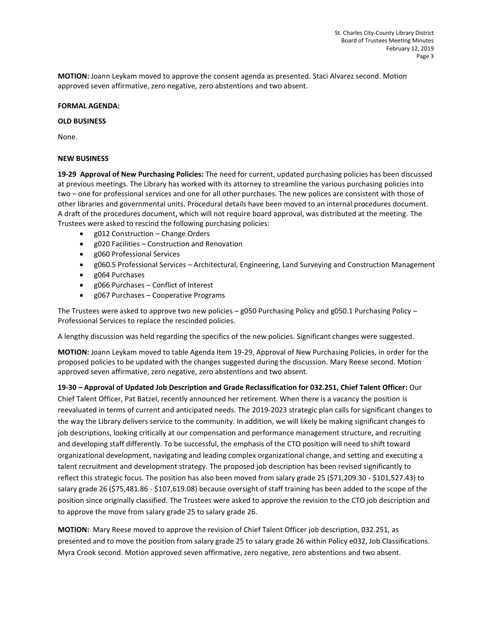**MOTION:** Joann Leykam moved to approve the consent agenda as presented. Staci Alvarez second. Motion approved seven affirmative, zero negative, zero abstentions and two absent.

### **FORMAL AGENDA:**

#### **OLD BUSINESS**

None.

### **NEW BUSINESS**

**19-29 Approval of New Purchasing Policies:** The need for current, updated purchasing policies has been discussed at previous meetings. The Library has worked with its attorney to streamline the various purchasing policies into two – one for professional services and one for all other purchases. The new polices are consistent with those of other libraries and governmental units. Procedural details have been moved to an internal procedures document. A draft of the procedures document, which will not require board approval, was distributed at the meeting. The Trustees were asked to rescind the following purchasing policies:

- g012 Construction Change Orders
- g020 Facilities Construction and Renovation
- g060 Professional Services
- g060.5 Professional Services Architectural, Engineering, Land Surveying and Construction Management
- g064 Purchases
- g066 Purchases Conflict of Interest
- g067 Purchases Cooperative Programs

The Trustees were asked to approve two new policies – g050 Purchasing Policy and g050.1 Purchasing Policy – Professional Services to replace the rescinded policies.

A lengthy discussion was held regarding the specifics of the new policies. Significant changes were suggested.

**MOTION:** Joann Leykam moved to table Agenda Item 19-29, Approval of New Purchasing Policies, in order for the proposed policies to be updated with the changes suggested during the discussion. Mary Reese second. Motion approved seven affirmative, zero negative, zero abstentions and two absent.

**19-30 – Approval of Updated Job Description and Grade Reclassification for 032.251, Chief Talent Officer:** Our Chief Talent Officer, Pat Batzel, recently announced her retirement. When there is a vacancy the position is reevaluated in terms of current and anticipated needs. The 2019-2023 strategic plan calls for significant changes to the way the Library delivers service to the community. In addition, we will likely be making significant changes to job descriptions, looking critically at our compensation and performance management structure, and recruiting and developing staff differently. To be successful, the emphasis of the CTO position will need to shift toward organizational development, navigating and leading complex organizational change, and setting and executing a talent recruitment and development strategy. The proposed job description has been revised significantly to reflect this strategic focus. The position has also been moved from salary grade 25 (\$71,209.30 - \$101,527.43) to salary grade 26 (\$75,481.86 - \$107,619.08) because oversight of staff training has been added to the scope of the position since originally classified. The Trustees were asked to approve the revision to the CTO job description and to approve the move from salary grade 25 to salary grade 26.

**MOTION:** Mary Reese moved to approve the revision of Chief Talent Officer job description, 032.251, as presented and to move the position from salary grade 25 to salary grade 26 within Policy e032, Job Classifications. Myra Crook second. Motion approved seven affirmative, zero negative, zero abstentions and two absent.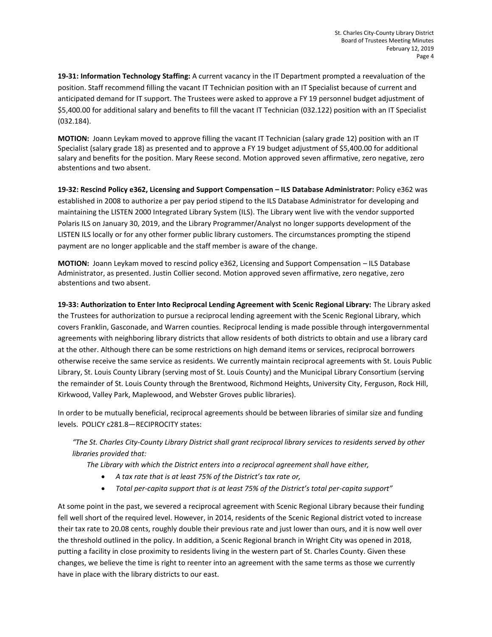**19-31: Information Technology Staffing:** A current vacancy in the IT Department prompted a reevaluation of the position. Staff recommend filling the vacant IT Technician position with an IT Specialist because of current and anticipated demand for IT support. The Trustees were asked to approve a FY 19 personnel budget adjustment of \$5,400.00 for additional salary and benefits to fill the vacant IT Technician (032.122) position with an IT Specialist (032.184).

**MOTION:** Joann Leykam moved to approve filling the vacant IT Technician (salary grade 12) position with an IT Specialist (salary grade 18) as presented and to approve a FY 19 budget adjustment of \$5,400.00 for additional salary and benefits for the position. Mary Reese second. Motion approved seven affirmative, zero negative, zero abstentions and two absent.

**19-32: Rescind Policy e362, Licensing and Support Compensation – ILS Database Administrator:** Policy e362 was established in 2008 to authorize a per pay period stipend to the ILS Database Administrator for developing and maintaining the LISTEN 2000 Integrated Library System (ILS). The Library went live with the vendor supported Polaris ILS on January 30, 2019, and the Library Programmer/Analyst no longer supports development of the LISTEN ILS locally or for any other former public library customers. The circumstances prompting the stipend payment are no longer applicable and the staff member is aware of the change.

**MOTION:** Joann Leykam moved to rescind policy e362, Licensing and Support Compensation – ILS Database Administrator, as presented. Justin Collier second. Motion approved seven affirmative, zero negative, zero abstentions and two absent.

**19-33: Authorization to Enter Into Reciprocal Lending Agreement with Scenic Regional Library:** The Library asked the Trustees for authorization to pursue a reciprocal lending agreement with the Scenic Regional Library, which covers Franklin, Gasconade, and Warren counties. Reciprocal lending is made possible through intergovernmental agreements with neighboring library districts that allow residents of both districts to obtain and use a library card at the other. Although there can be some restrictions on high demand items or services, reciprocal borrowers otherwise receive the same service as residents. We currently maintain reciprocal agreements with St. Louis Public Library, St. Louis County Library (serving most of St. Louis County) and the Municipal Library Consortium (serving the remainder of St. Louis County through the Brentwood, Richmond Heights, University City, Ferguson, Rock Hill, Kirkwood, Valley Park, Maplewood, and Webster Groves public libraries).

In order to be mutually beneficial, reciprocal agreements should be between libraries of similar size and funding levels. POLICY c281.8—RECIPROCITY states:

# *"The St. Charles City-County Library District shall grant reciprocal library services to residents served by other libraries provided that:*

*The Library with which the District enters into a reciprocal agreement shall have either,*

- *A tax rate that is at least 75% of the District's tax rate or,*
- *Total per-capita support that is at least 75% of the District's total per-capita support"*

At some point in the past, we severed a reciprocal agreement with Scenic Regional Library because their funding fell well short of the required level. However, in 2014, residents of the Scenic Regional district voted to increase their tax rate to 20.08 cents, roughly double their previous rate and just lower than ours, and it is now well over the threshold outlined in the policy. In addition, a Scenic Regional branch in Wright City was opened in 2018, putting a facility in close proximity to residents living in the western part of St. Charles County. Given these changes, we believe the time is right to reenter into an agreement with the same terms as those we currently have in place with the library districts to our east.